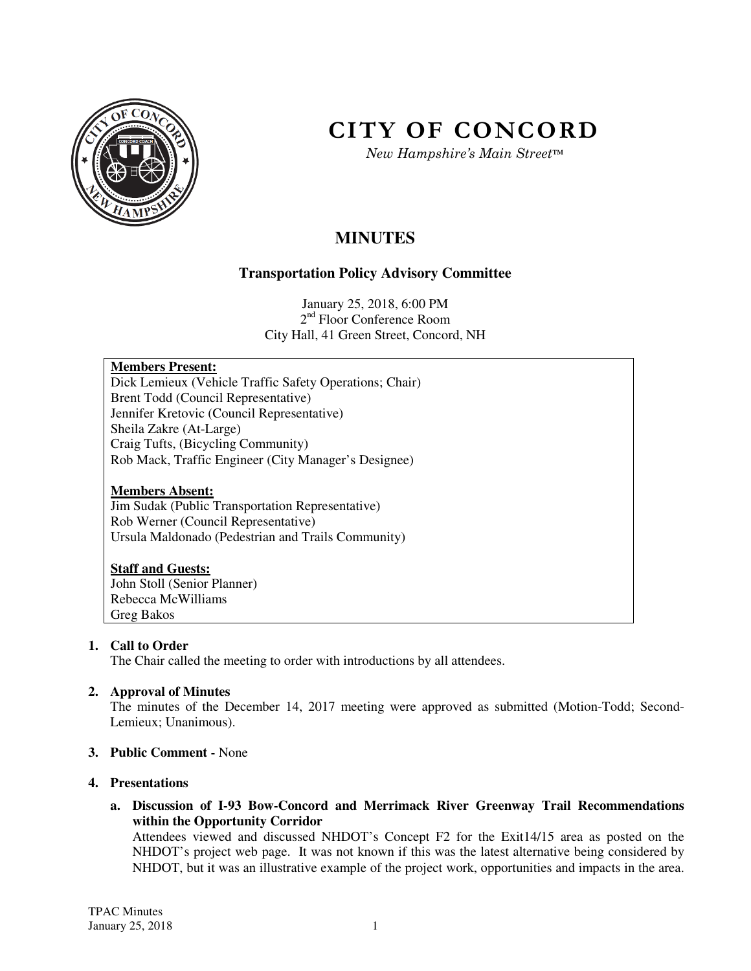

# **CITY OF CONCORD**

*New Hampshire's Main Street™*

# **MINUTES**

# **Transportation Policy Advisory Committee**

January 25, 2018, 6:00 PM 2<sup>nd</sup> Floor Conference Room City Hall, 41 Green Street, Concord, NH

# **Members Present:**

Dick Lemieux (Vehicle Traffic Safety Operations; Chair) Brent Todd (Council Representative) Jennifer Kretovic (Council Representative) Sheila Zakre (At-Large) Craig Tufts, (Bicycling Community) Rob Mack, Traffic Engineer (City Manager's Designee)

### **Members Absent:**

Jim Sudak (Public Transportation Representative) Rob Werner (Council Representative) Ursula Maldonado (Pedestrian and Trails Community)

# **Staff and Guests:**

John Stoll (Senior Planner) Rebecca McWilliams Greg Bakos

# **1. Call to Order**

The Chair called the meeting to order with introductions by all attendees.

# **2. Approval of Minutes**

The minutes of the December 14, 2017 meeting were approved as submitted (Motion-Todd; Second-Lemieux; Unanimous).

#### **3. Public Comment -** None

#### **4. Presentations**

**a. Discussion of I-93 Bow-Concord and Merrimack River Greenway Trail Recommendations within the Opportunity Corridor** 

Attendees viewed and discussed NHDOT's Concept F2 for the Exit14/15 area as posted on the NHDOT's project web page. It was not known if this was the latest alternative being considered by NHDOT, but it was an illustrative example of the project work, opportunities and impacts in the area.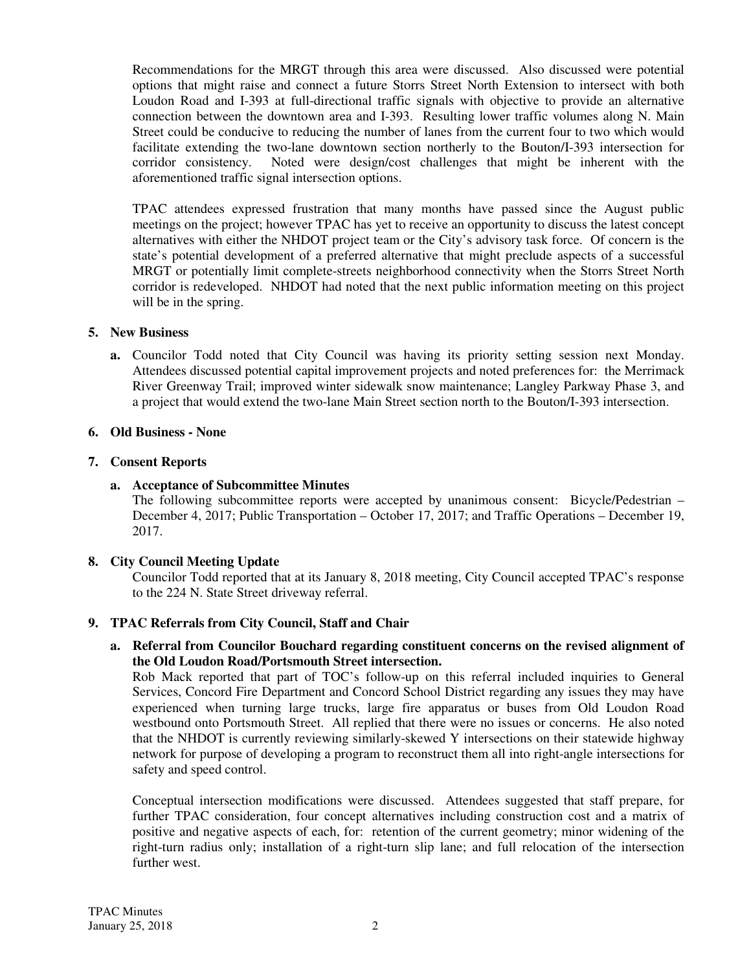Recommendations for the MRGT through this area were discussed. Also discussed were potential options that might raise and connect a future Storrs Street North Extension to intersect with both Loudon Road and I-393 at full-directional traffic signals with objective to provide an alternative connection between the downtown area and I-393. Resulting lower traffic volumes along N. Main Street could be conducive to reducing the number of lanes from the current four to two which would facilitate extending the two-lane downtown section northerly to the Bouton/I-393 intersection for corridor consistency. Noted were design/cost challenges that might be inherent with the aforementioned traffic signal intersection options.

TPAC attendees expressed frustration that many months have passed since the August public meetings on the project; however TPAC has yet to receive an opportunity to discuss the latest concept alternatives with either the NHDOT project team or the City's advisory task force. Of concern is the state's potential development of a preferred alternative that might preclude aspects of a successful MRGT or potentially limit complete-streets neighborhood connectivity when the Storrs Street North corridor is redeveloped. NHDOT had noted that the next public information meeting on this project will be in the spring.

#### **5. New Business**

**a.** Councilor Todd noted that City Council was having its priority setting session next Monday. Attendees discussed potential capital improvement projects and noted preferences for: the Merrimack River Greenway Trail; improved winter sidewalk snow maintenance; Langley Parkway Phase 3, and a project that would extend the two-lane Main Street section north to the Bouton/I-393 intersection.

#### **6. Old Business - None**

#### **7. Consent Reports**

#### **a. Acceptance of Subcommittee Minutes**

The following subcommittee reports were accepted by unanimous consent: Bicycle/Pedestrian – December 4, 2017; Public Transportation – October 17, 2017; and Traffic Operations – December 19, 2017.

#### **8. City Council Meeting Update**

Councilor Todd reported that at its January 8, 2018 meeting, City Council accepted TPAC's response to the 224 N. State Street driveway referral.

#### **9. TPAC Referrals from City Council, Staff and Chair**

#### **a. Referral from Councilor Bouchard regarding constituent concerns on the revised alignment of the Old Loudon Road/Portsmouth Street intersection.**

Rob Mack reported that part of TOC's follow-up on this referral included inquiries to General Services, Concord Fire Department and Concord School District regarding any issues they may have experienced when turning large trucks, large fire apparatus or buses from Old Loudon Road westbound onto Portsmouth Street. All replied that there were no issues or concerns. He also noted that the NHDOT is currently reviewing similarly-skewed Y intersections on their statewide highway network for purpose of developing a program to reconstruct them all into right-angle intersections for safety and speed control.

Conceptual intersection modifications were discussed. Attendees suggested that staff prepare, for further TPAC consideration, four concept alternatives including construction cost and a matrix of positive and negative aspects of each, for: retention of the current geometry; minor widening of the right-turn radius only; installation of a right-turn slip lane; and full relocation of the intersection further west.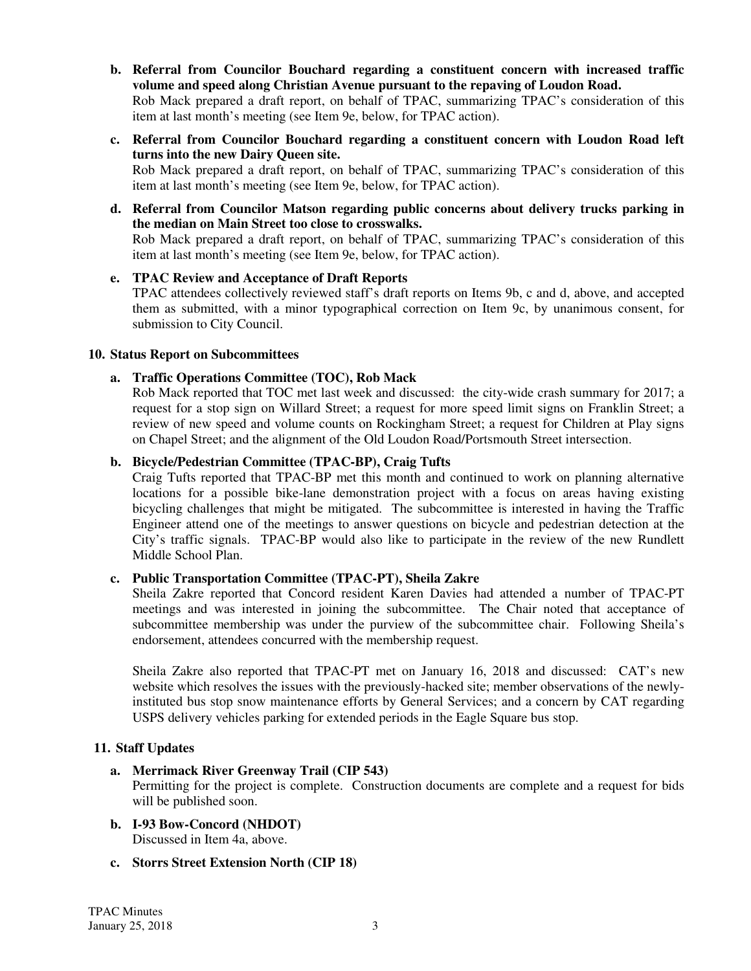**b. Referral from Councilor Bouchard regarding a constituent concern with increased traffic volume and speed along Christian Avenue pursuant to the repaving of Loudon Road.**  Rob Mack prepared a draft report, on behalf of TPAC, summarizing TPAC's consideration of this

item at last month's meeting (see Item 9e, below, for TPAC action).

- **c. Referral from Councilor Bouchard regarding a constituent concern with Loudon Road left turns into the new Dairy Queen site.**  Rob Mack prepared a draft report, on behalf of TPAC, summarizing TPAC's consideration of this
- item at last month's meeting (see Item 9e, below, for TPAC action). **d. Referral from Councilor Matson regarding public concerns about delivery trucks parking in**

**the median on Main Street too close to crosswalks.**  Rob Mack prepared a draft report, on behalf of TPAC, summarizing TPAC's consideration of this item at last month's meeting (see Item 9e, below, for TPAC action).

**e. TPAC Review and Acceptance of Draft Reports**  TPAC attendees collectively reviewed staff's draft reports on Items 9b, c and d, above, and accepted them as submitted, with a minor typographical correction on Item 9c, by unanimous consent, for submission to City Council.

#### **10. Status Report on Subcommittees**

#### **a. Traffic Operations Committee (TOC), Rob Mack**

Rob Mack reported that TOC met last week and discussed: the city-wide crash summary for 2017; a request for a stop sign on Willard Street; a request for more speed limit signs on Franklin Street; a review of new speed and volume counts on Rockingham Street; a request for Children at Play signs on Chapel Street; and the alignment of the Old Loudon Road/Portsmouth Street intersection.

#### **b. Bicycle/Pedestrian Committee (TPAC-BP), Craig Tufts**

Craig Tufts reported that TPAC-BP met this month and continued to work on planning alternative locations for a possible bike-lane demonstration project with a focus on areas having existing bicycling challenges that might be mitigated. The subcommittee is interested in having the Traffic Engineer attend one of the meetings to answer questions on bicycle and pedestrian detection at the City's traffic signals. TPAC-BP would also like to participate in the review of the new Rundlett Middle School Plan.

#### **c. Public Transportation Committee (TPAC-PT), Sheila Zakre**

Sheila Zakre reported that Concord resident Karen Davies had attended a number of TPAC-PT meetings and was interested in joining the subcommittee. The Chair noted that acceptance of subcommittee membership was under the purview of the subcommittee chair. Following Sheila's endorsement, attendees concurred with the membership request.

Sheila Zakre also reported that TPAC-PT met on January 16, 2018 and discussed: CAT's new website which resolves the issues with the previously-hacked site; member observations of the newlyinstituted bus stop snow maintenance efforts by General Services; and a concern by CAT regarding USPS delivery vehicles parking for extended periods in the Eagle Square bus stop.

#### **11. Staff Updates**

#### **a. Merrimack River Greenway Trail (CIP 543)**

Permitting for the project is complete. Construction documents are complete and a request for bids will be published soon.

- **b. I-93 Bow-Concord (NHDOT)**  Discussed in Item 4a, above.
- **c. Storrs Street Extension North (CIP 18)**